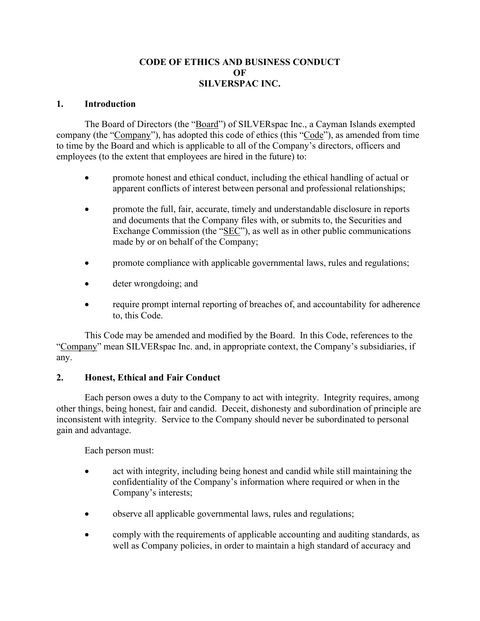# **CODE OF ETHICS AND BUSINESS CONDUCT OF SILVERSPAC INC.**

#### **1. Introduction**

The Board of Directors (the "Board") of SILVERspac Inc., a Cayman Islands exempted company (the "Company"), has adopted this code of ethics (this "Code"), as amended from time to time by the Board and which is applicable to all of the Company's directors, officers and employees (to the extent that employees are hired in the future) to:

- promote honest and ethical conduct, including the ethical handling of actual or apparent conflicts of interest between personal and professional relationships;
- promote the full, fair, accurate, timely and understandable disclosure in reports and documents that the Company files with, or submits to, the Securities and Exchange Commission (the "SEC"), as well as in other public communications made by or on behalf of the Company;
- promote compliance with applicable governmental laws, rules and regulations;
- deter wrongdoing; and
- require prompt internal reporting of breaches of, and accountability for adherence to, this Code.

This Code may be amended and modified by the Board. In this Code, references to the "Company" mean SILVERspac Inc. and, in appropriate context, the Company's subsidiaries, if any.

### **2. Honest, Ethical and Fair Conduct**

Each person owes a duty to the Company to act with integrity. Integrity requires, among other things, being honest, fair and candid. Deceit, dishonesty and subordination of principle are inconsistent with integrity. Service to the Company should never be subordinated to personal gain and advantage.

Each person must:

- act with integrity, including being honest and candid while still maintaining the confidentiality of the Company's information where required or when in the Company's interests;
- observe all applicable governmental laws, rules and regulations;
- comply with the requirements of applicable accounting and auditing standards, as well as Company policies, in order to maintain a high standard of accuracy and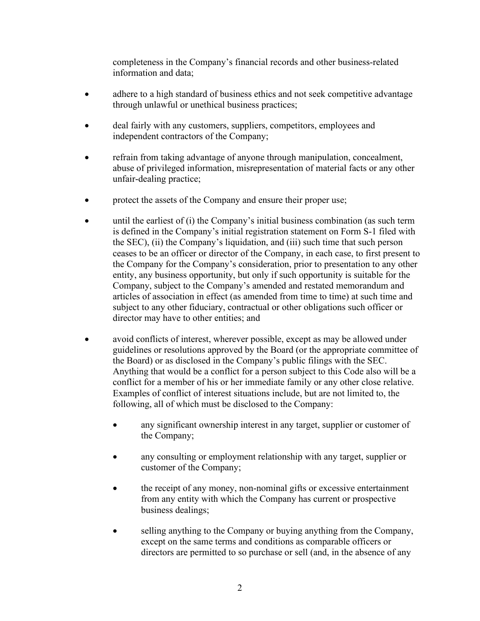completeness in the Company's financial records and other business-related information and data;

- adhere to a high standard of business ethics and not seek competitive advantage through unlawful or unethical business practices;
- deal fairly with any customers, suppliers, competitors, employees and independent contractors of the Company;
- refrain from taking advantage of anyone through manipulation, concealment, abuse of privileged information, misrepresentation of material facts or any other unfair-dealing practice;
- protect the assets of the Company and ensure their proper use;
- until the earliest of (i) the Company's initial business combination (as such term is defined in the Company's initial registration statement on Form S-1 filed with the SEC), (ii) the Company's liquidation, and (iii) such time that such person ceases to be an officer or director of the Company, in each case, to first present to the Company for the Company's consideration, prior to presentation to any other entity, any business opportunity, but only if such opportunity is suitable for the Company, subject to the Company's amended and restated memorandum and articles of association in effect (as amended from time to time) at such time and subject to any other fiduciary, contractual or other obligations such officer or director may have to other entities; and
- avoid conflicts of interest, wherever possible, except as may be allowed under guidelines or resolutions approved by the Board (or the appropriate committee of the Board) or as disclosed in the Company's public filings with the SEC. Anything that would be a conflict for a person subject to this Code also will be a conflict for a member of his or her immediate family or any other close relative. Examples of conflict of interest situations include, but are not limited to, the following, all of which must be disclosed to the Company:
	- any significant ownership interest in any target, supplier or customer of the Company;
	- any consulting or employment relationship with any target, supplier or customer of the Company;
	- the receipt of any money, non-nominal gifts or excessive entertainment from any entity with which the Company has current or prospective business dealings;
	- selling anything to the Company or buying anything from the Company, except on the same terms and conditions as comparable officers or directors are permitted to so purchase or sell (and, in the absence of any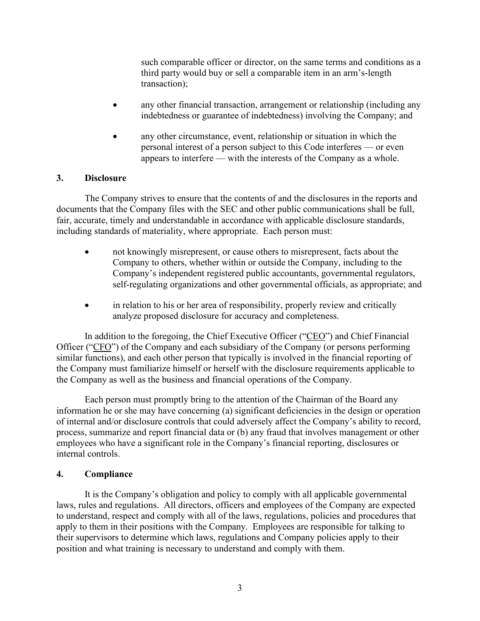such comparable officer or director, on the same terms and conditions as a third party would buy or sell a comparable item in an arm's-length transaction);

- any other financial transaction, arrangement or relationship (including any indebtedness or guarantee of indebtedness) involving the Company; and
- any other circumstance, event, relationship or situation in which the personal interest of a person subject to this Code interferes — or even appears to interfere — with the interests of the Company as a whole.

### **3. Disclosure**

The Company strives to ensure that the contents of and the disclosures in the reports and documents that the Company files with the SEC and other public communications shall be full, fair, accurate, timely and understandable in accordance with applicable disclosure standards, including standards of materiality, where appropriate. Each person must:

- not knowingly misrepresent, or cause others to misrepresent, facts about the Company to others, whether within or outside the Company, including to the Company's independent registered public accountants, governmental regulators, self-regulating organizations and other governmental officials, as appropriate; and
- in relation to his or her area of responsibility, properly review and critically analyze proposed disclosure for accuracy and completeness.

In addition to the foregoing, the Chief Executive Officer ("CEO") and Chief Financial Officer ("CFO") of the Company and each subsidiary of the Company (or persons performing similar functions), and each other person that typically is involved in the financial reporting of the Company must familiarize himself or herself with the disclosure requirements applicable to the Company as well as the business and financial operations of the Company.

Each person must promptly bring to the attention of the Chairman of the Board any information he or she may have concerning (a) significant deficiencies in the design or operation of internal and/or disclosure controls that could adversely affect the Company's ability to record, process, summarize and report financial data or (b) any fraud that involves management or other employees who have a significant role in the Company's financial reporting, disclosures or internal controls.

### **4. Compliance**

It is the Company's obligation and policy to comply with all applicable governmental laws, rules and regulations. All directors, officers and employees of the Company are expected to understand, respect and comply with all of the laws, regulations, policies and procedures that apply to them in their positions with the Company. Employees are responsible for talking to their supervisors to determine which laws, regulations and Company policies apply to their position and what training is necessary to understand and comply with them.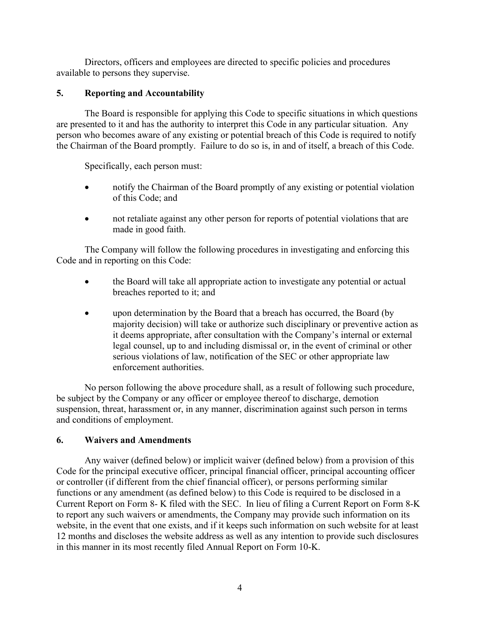Directors, officers and employees are directed to specific policies and procedures available to persons they supervise.

# **5. Reporting and Accountability**

The Board is responsible for applying this Code to specific situations in which questions are presented to it and has the authority to interpret this Code in any particular situation. Any person who becomes aware of any existing or potential breach of this Code is required to notify the Chairman of the Board promptly. Failure to do so is, in and of itself, a breach of this Code.

Specifically, each person must:

- notify the Chairman of the Board promptly of any existing or potential violation of this Code; and
- not retaliate against any other person for reports of potential violations that are made in good faith.

The Company will follow the following procedures in investigating and enforcing this Code and in reporting on this Code:

- the Board will take all appropriate action to investigate any potential or actual breaches reported to it; and
- upon determination by the Board that a breach has occurred, the Board (by majority decision) will take or authorize such disciplinary or preventive action as it deems appropriate, after consultation with the Company's internal or external legal counsel, up to and including dismissal or, in the event of criminal or other serious violations of law, notification of the SEC or other appropriate law enforcement authorities.

No person following the above procedure shall, as a result of following such procedure, be subject by the Company or any officer or employee thereof to discharge, demotion suspension, threat, harassment or, in any manner, discrimination against such person in terms and conditions of employment.

# **6. Waivers and Amendments**

Any waiver (defined below) or implicit waiver (defined below) from a provision of this Code for the principal executive officer, principal financial officer, principal accounting officer or controller (if different from the chief financial officer), or persons performing similar functions or any amendment (as defined below) to this Code is required to be disclosed in a Current Report on Form 8- K filed with the SEC. In lieu of filing a Current Report on Form 8-K to report any such waivers or amendments, the Company may provide such information on its website, in the event that one exists, and if it keeps such information on such website for at least 12 months and discloses the website address as well as any intention to provide such disclosures in this manner in its most recently filed Annual Report on Form 10-K.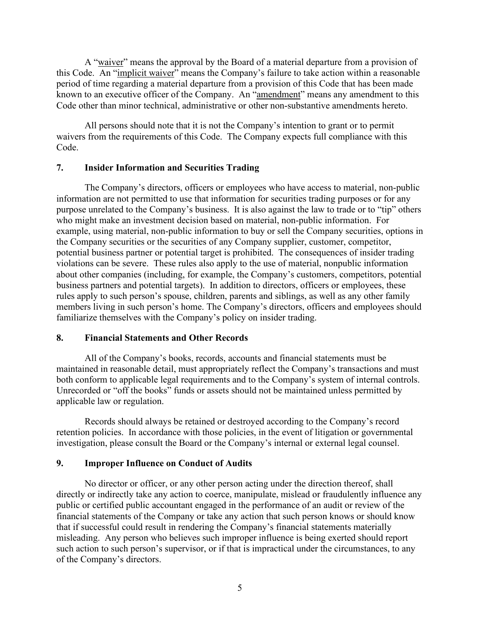A "waiver" means the approval by the Board of a material departure from a provision of this Code. An "implicit waiver" means the Company's failure to take action within a reasonable period of time regarding a material departure from a provision of this Code that has been made known to an executive officer of the Company. An "amendment" means any amendment to this Code other than minor technical, administrative or other non-substantive amendments hereto.

All persons should note that it is not the Company's intention to grant or to permit waivers from the requirements of this Code. The Company expects full compliance with this Code.

### **7. Insider Information and Securities Trading**

The Company's directors, officers or employees who have access to material, non-public information are not permitted to use that information for securities trading purposes or for any purpose unrelated to the Company's business. It is also against the law to trade or to "tip" others who might make an investment decision based on material, non-public information. For example, using material, non-public information to buy or sell the Company securities, options in the Company securities or the securities of any Company supplier, customer, competitor, potential business partner or potential target is prohibited. The consequences of insider trading violations can be severe. These rules also apply to the use of material, nonpublic information about other companies (including, for example, the Company's customers, competitors, potential business partners and potential targets). In addition to directors, officers or employees, these rules apply to such person's spouse, children, parents and siblings, as well as any other family members living in such person's home. The Company's directors, officers and employees should familiarize themselves with the Company's policy on insider trading.

# **8. Financial Statements and Other Records**

All of the Company's books, records, accounts and financial statements must be maintained in reasonable detail, must appropriately reflect the Company's transactions and must both conform to applicable legal requirements and to the Company's system of internal controls. Unrecorded or "off the books" funds or assets should not be maintained unless permitted by applicable law or regulation.

Records should always be retained or destroyed according to the Company's record retention policies. In accordance with those policies, in the event of litigation or governmental investigation, please consult the Board or the Company's internal or external legal counsel.

# **9. Improper Influence on Conduct of Audits**

No director or officer, or any other person acting under the direction thereof, shall directly or indirectly take any action to coerce, manipulate, mislead or fraudulently influence any public or certified public accountant engaged in the performance of an audit or review of the financial statements of the Company or take any action that such person knows or should know that if successful could result in rendering the Company's financial statements materially misleading. Any person who believes such improper influence is being exerted should report such action to such person's supervisor, or if that is impractical under the circumstances, to any of the Company's directors.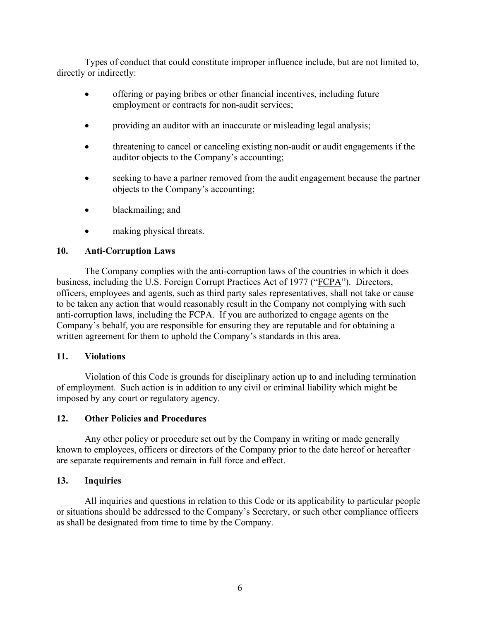Types of conduct that could constitute improper influence include, but are not limited to, directly or indirectly:

- offering or paying bribes or other financial incentives, including future employment or contracts for non-audit services;
- providing an auditor with an inaccurate or misleading legal analysis;
- threatening to cancel or canceling existing non-audit or audit engagements if the auditor objects to the Company's accounting;
- seeking to have a partner removed from the audit engagement because the partner objects to the Company's accounting;
- blackmailing; and
- making physical threats.

# **10. Anti-Corruption Laws**

The Company complies with the anti-corruption laws of the countries in which it does business, including the U.S. Foreign Corrupt Practices Act of 1977 ("FCPA"). Directors, officers, employees and agents, such as third party sales representatives, shall not take or cause to be taken any action that would reasonably result in the Company not complying with such anti-corruption laws, including the FCPA. If you are authorized to engage agents on the Company's behalf, you are responsible for ensuring they are reputable and for obtaining a written agreement for them to uphold the Company's standards in this area.

### **11. Violations**

Violation of this Code is grounds for disciplinary action up to and including termination of employment. Such action is in addition to any civil or criminal liability which might be imposed by any court or regulatory agency.

### **12. Other Policies and Procedures**

Any other policy or procedure set out by the Company in writing or made generally known to employees, officers or directors of the Company prior to the date hereof or hereafter are separate requirements and remain in full force and effect.

### **13. Inquiries**

All inquiries and questions in relation to this Code or its applicability to particular people or situations should be addressed to the Company's Secretary, or such other compliance officers as shall be designated from time to time by the Company.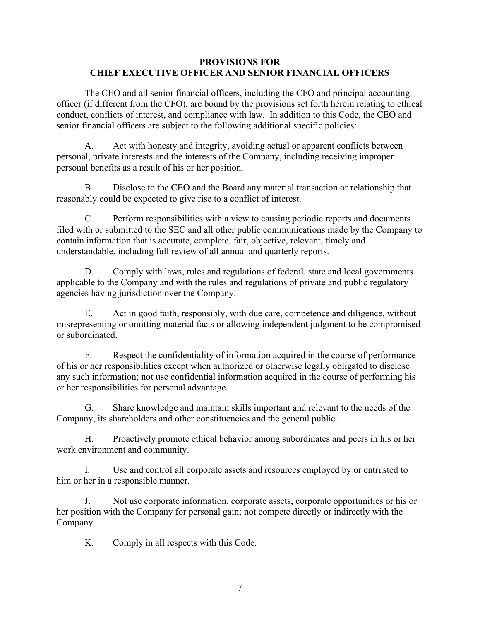### **PROVISIONS FOR CHIEF EXECUTIVE OFFICER AND SENIOR FINANCIAL OFFICERS**

The CEO and all senior financial officers, including the CFO and principal accounting officer (if different from the CFO), are bound by the provisions set forth herein relating to ethical conduct, conflicts of interest, and compliance with law. In addition to this Code, the CEO and senior financial officers are subject to the following additional specific policies:

A. Act with honesty and integrity, avoiding actual or apparent conflicts between personal, private interests and the interests of the Company, including receiving improper personal benefits as a result of his or her position.

B. Disclose to the CEO and the Board any material transaction or relationship that reasonably could be expected to give rise to a conflict of interest.

C. Perform responsibilities with a view to causing periodic reports and documents filed with or submitted to the SEC and all other public communications made by the Company to contain information that is accurate, complete, fair, objective, relevant, timely and understandable, including full review of all annual and quarterly reports.

D. Comply with laws, rules and regulations of federal, state and local governments applicable to the Company and with the rules and regulations of private and public regulatory agencies having jurisdiction over the Company.

E. Act in good faith, responsibly, with due care, competence and diligence, without misrepresenting or omitting material facts or allowing independent judgment to be compromised or subordinated.

F. Respect the confidentiality of information acquired in the course of performance of his or her responsibilities except when authorized or otherwise legally obligated to disclose any such information; not use confidential information acquired in the course of performing his or her responsibilities for personal advantage.

G. Share knowledge and maintain skills important and relevant to the needs of the Company, its shareholders and other constituencies and the general public.

H. Proactively promote ethical behavior among subordinates and peers in his or her work environment and community.

I. Use and control all corporate assets and resources employed by or entrusted to him or her in a responsible manner.

J. Not use corporate information, corporate assets, corporate opportunities or his or her position with the Company for personal gain; not compete directly or indirectly with the Company.

K. Comply in all respects with this Code.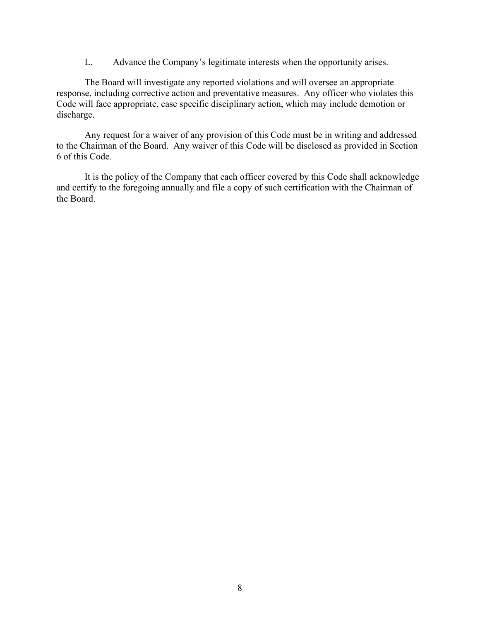L. Advance the Company's legitimate interests when the opportunity arises.

The Board will investigate any reported violations and will oversee an appropriate response, including corrective action and preventative measures. Any officer who violates this Code will face appropriate, case specific disciplinary action, which may include demotion or discharge.

Any request for a waiver of any provision of this Code must be in writing and addressed to the Chairman of the Board. Any waiver of this Code will be disclosed as provided in Section 6 of this Code.

It is the policy of the Company that each officer covered by this Code shall acknowledge and certify to the foregoing annually and file a copy of such certification with the Chairman of the Board.